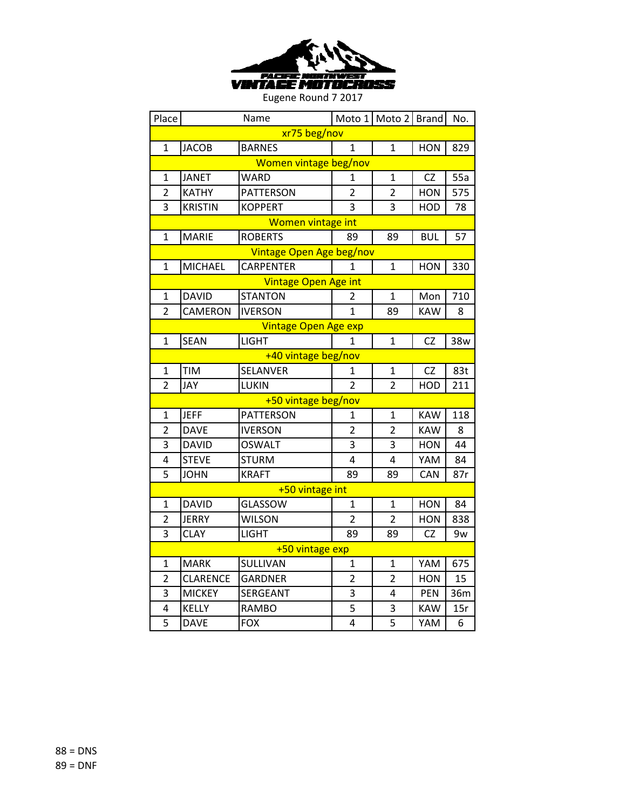

| Place                 |                 | Name                        |                | Moto 1 Moto 2 Brand |            | No. |  |  |
|-----------------------|-----------------|-----------------------------|----------------|---------------------|------------|-----|--|--|
| xr75 beg/nov          |                 |                             |                |                     |            |     |  |  |
| 1                     | <b>JACOB</b>    | <b>BARNES</b>               | 1              | 1                   | <b>HON</b> | 829 |  |  |
| Women vintage beg/nov |                 |                             |                |                     |            |     |  |  |
| $\mathbf{1}$          | <b>JANET</b>    | WARD                        | 1              | $\mathbf{1}$        | CZ         | 55a |  |  |
| $\overline{2}$        | <b>KATHY</b>    | <b>PATTERSON</b>            | 2              | $\overline{2}$      | <b>HON</b> | 575 |  |  |
| 3                     | <b>KRISTIN</b>  | <b>KOPPERT</b>              | 3              | 3                   | HOD        | 78  |  |  |
|                       |                 | <b>Women vintage int</b>    |                |                     |            |     |  |  |
| 1                     | <b>MARIE</b>    | <b>ROBERTS</b>              | 89             | 89                  | <b>BUL</b> | 57  |  |  |
|                       |                 | Vintage Open Age beg/nov    |                |                     |            |     |  |  |
| 1                     | <b>MICHAEL</b>  | <b>CARPENTER</b>            | 1              | 1                   | <b>HON</b> | 330 |  |  |
|                       |                 | <b>Vintage Open Age int</b> |                |                     |            |     |  |  |
| $\mathbf{1}$          | <b>DAVID</b>    | <b>STANTON</b>              | 2              | 1                   | Mon        | 710 |  |  |
| $\overline{2}$        | CAMERON         | <b>IVERSON</b>              | 1              | 89                  | <b>KAW</b> | 8   |  |  |
|                       |                 | <b>Vintage Open Age exp</b> |                |                     |            |     |  |  |
| 1                     | <b>SEAN</b>     | <b>LIGHT</b>                | 1              | $\mathbf{1}$        | <b>CZ</b>  | 38w |  |  |
|                       |                 | +40 vintage beg/nov         |                |                     |            |     |  |  |
| 1                     | <b>TIM</b>      | <b>SELANVER</b>             | 1              | 1                   | CZ         | 83t |  |  |
| $\overline{2}$        | JAY             | <b>LUKIN</b>                | $\overline{2}$ | $\overline{2}$      | HOD        | 211 |  |  |
|                       |                 | +50 vintage beg/nov         |                |                     |            |     |  |  |
| 1                     | <b>JEFF</b>     | PATTERSON                   | 1              | 1                   | <b>KAW</b> | 118 |  |  |
| $\overline{2}$        | <b>DAVE</b>     | <b>IVERSON</b>              | $\overline{2}$ | $\overline{2}$      | <b>KAW</b> | 8   |  |  |
| 3                     | <b>DAVID</b>    | <b>OSWALT</b>               | 3              | 3                   | <b>HON</b> | 44  |  |  |
| 4                     | <b>STEVE</b>    | <b>STURM</b>                | 4              | 4                   | YAM        | 84  |  |  |
| 5                     | <b>JOHN</b>     | <b>KRAFT</b>                | 89             | 89                  | CAN        | 87r |  |  |
|                       |                 | +50 vintage int             |                |                     |            |     |  |  |
| $\mathbf{1}$          | <b>DAVID</b>    | GLASSOW                     | $\mathbf{1}$   | $\mathbf{1}$        | <b>HON</b> | 84  |  |  |
| $\overline{2}$        | <b>JERRY</b>    | <b>WILSON</b>               | 2              | $\overline{2}$      | <b>HON</b> | 838 |  |  |
| 3                     | <b>CLAY</b>     | LIGHT                       | 89             | 89                  | CZ         | 9w  |  |  |
|                       |                 | +50 vintage exp             |                |                     |            |     |  |  |
| 1                     | <b>MARK</b>     | SULLIVAN                    | 1              | 1                   | YAM        | 675 |  |  |
| $\overline{2}$        | <b>CLARENCE</b> | <b>GARDNER</b>              | 2              | $\overline{2}$      | <b>HON</b> | 15  |  |  |
| 3                     | <b>MICKEY</b>   | SERGEANT                    | 3              | 4                   | PEN        | 36m |  |  |
| 4                     | <b>KELLY</b>    | <b>RAMBO</b>                | 5              | 3                   | <b>KAW</b> | 15r |  |  |
| 5                     | <b>DAVE</b>     | <b>FOX</b>                  | 4              | 5                   | YAM        | 6   |  |  |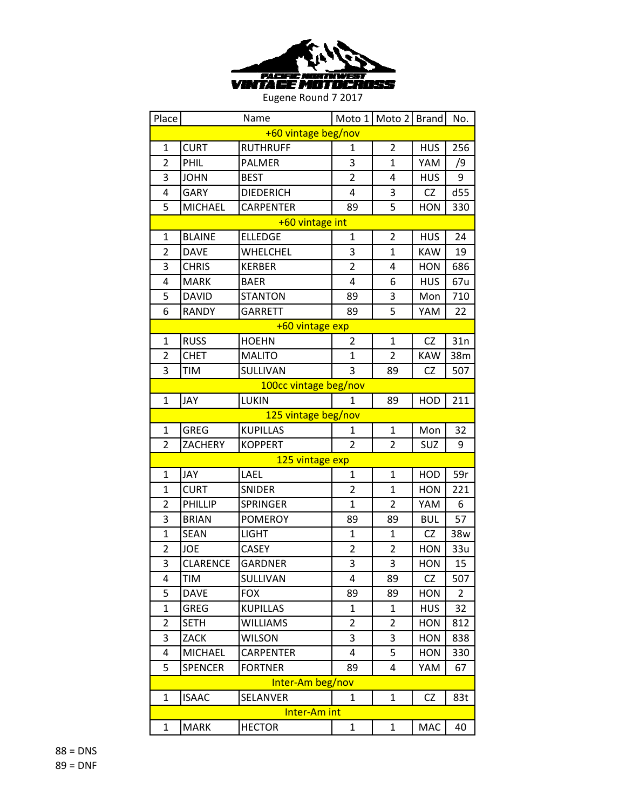

| Place          |                     | Name                  | Moto 1         | Moto 2 Brand   |            | No.            |  |  |
|----------------|---------------------|-----------------------|----------------|----------------|------------|----------------|--|--|
|                | +60 vintage beg/nov |                       |                |                |            |                |  |  |
| $\mathbf{1}$   | <b>CURT</b>         | <b>RUTHRUFF</b>       | 1              | $\overline{2}$ | <b>HUS</b> | 256            |  |  |
| $\overline{2}$ | PHIL                | PALMER                | 3              | $\mathbf{1}$   | YAM        | /9             |  |  |
| 3              | <b>JOHN</b>         | <b>BEST</b>           | $\overline{2}$ | 4              | <b>HUS</b> | 9              |  |  |
| 4              | <b>GARY</b>         | <b>DIEDERICH</b>      | 4              | 3              | CZ         | d55            |  |  |
| 5              | <b>MICHAEL</b>      | <b>CARPENTER</b>      | 89             | 5              | <b>HON</b> | 330            |  |  |
|                |                     | +60 vintage int       |                |                |            |                |  |  |
| 1              | <b>BLAINE</b>       | <b>ELLEDGE</b>        | $\mathbf{1}$   | $\overline{2}$ | <b>HUS</b> | 24             |  |  |
| $\overline{2}$ | <b>DAVE</b>         | WHELCHEL              | 3              | $\overline{1}$ | <b>KAW</b> | 19             |  |  |
| 3              | <b>CHRIS</b>        | <b>KERBER</b>         | $\overline{2}$ | 4              | <b>HON</b> | 686            |  |  |
| 4              | <b>MARK</b>         | <b>BAER</b>           | 4              | 6              | <b>HUS</b> | 67u            |  |  |
| 5              | <b>DAVID</b>        | <b>STANTON</b>        | 89             | 3              | Mon        | 710            |  |  |
| 6              | <b>RANDY</b>        | <b>GARRETT</b>        | 89             | 5              | YAM        | 22             |  |  |
|                |                     | +60 vintage exp       |                |                |            |                |  |  |
| 1              | <b>RUSS</b>         | <b>HOEHN</b>          | $\overline{2}$ | $\mathbf{1}$   | CZ         | 31n            |  |  |
| $\overline{2}$ | <b>CHET</b>         | <b>MALITO</b>         | 1              | $\overline{2}$ | <b>KAW</b> | 38m            |  |  |
| 3              | <b>TIM</b>          | SULLIVAN              | 3              | 89             | <b>CZ</b>  | 507            |  |  |
|                |                     | 100cc vintage beg/nov |                |                |            |                |  |  |
| $\mathbf{1}$   | JAY                 | LUKIN                 | 1              | 89             | HOD        | 211            |  |  |
|                |                     | 125 vintage beg/nov   |                |                |            |                |  |  |
| $\mathbf{1}$   | <b>GREG</b>         | <b>KUPILLAS</b>       | $\mathbf{1}$   | $\mathbf 1$    | Mon        | 32             |  |  |
| $\overline{2}$ | <b>ZACHERY</b>      | <b>KOPPERT</b>        | $\overline{2}$ | $\overline{2}$ | SUZ        | 9              |  |  |
|                |                     | 125 vintage exp       |                |                |            |                |  |  |
| 1              | <b>JAY</b>          | LAEL                  | 1              | $\mathbf{1}$   | HOD        | 59r            |  |  |
| $\mathbf{1}$   | <b>CURT</b>         | <b>SNIDER</b>         | $\overline{2}$ | $\mathbf{1}$   | <b>HON</b> | 221            |  |  |
| $\overline{2}$ | PHILLIP             | SPRINGER              | $\mathbf{1}$   | $\overline{2}$ | YAM        | 6              |  |  |
| 3              | <b>BRIAN</b>        | <b>POMEROY</b>        | 89             | 89             | <b>BUL</b> | 57             |  |  |
| $\mathbf{1}$   | <b>SEAN</b>         | <b>LIGHT</b>          | $\mathbf{1}$   | $\mathbf{1}$   | CZ         | 38w            |  |  |
| 2              | <b>JOE</b>          | <b>CASEY</b>          | 2              | $\overline{2}$ | <b>HON</b> | 33u            |  |  |
| 3              | <b>CLARENCE</b>     | <b>GARDNER</b>        | 3              | 3              | <b>HON</b> | 15             |  |  |
| 4              | <b>TIM</b>          | SULLIVAN              | 4              | 89             | CZ         | 507            |  |  |
| 5              | <b>DAVE</b>         | <b>FOX</b>            | 89             | 89             | <b>HON</b> | $\overline{2}$ |  |  |
| $\mathbf{1}$   | GREG                | <b>KUPILLAS</b>       | 1              | 1              | <b>HUS</b> | 32             |  |  |
| 2              | <b>SETH</b>         | <b>WILLIAMS</b>       | 2              | $\overline{2}$ | <b>HON</b> | 812            |  |  |
| 3              | <b>ZACK</b>         | <b>WILSON</b>         | 3              | 3              | <b>HON</b> | 838            |  |  |
| 4              | <b>MICHAEL</b>      | <b>CARPENTER</b>      | 4              | 5              | <b>HON</b> | 330            |  |  |
| 5              | <b>SPENCER</b>      | <b>FORTNER</b>        | 89             | 4              | YAM        | 67             |  |  |
|                |                     | Inter-Am beg/nov      |                |                |            |                |  |  |
| 1              | <b>ISAAC</b>        | SELANVER              | $\mathbf 1$    | $\mathbf{1}$   | CZ         | 83t            |  |  |
|                |                     | Inter-Am int          |                |                |            |                |  |  |
| 1              | <b>MARK</b>         | <b>HECTOR</b>         | $\mathbf 1$    | $\mathbf{1}$   | $\sf MAC$  | 40             |  |  |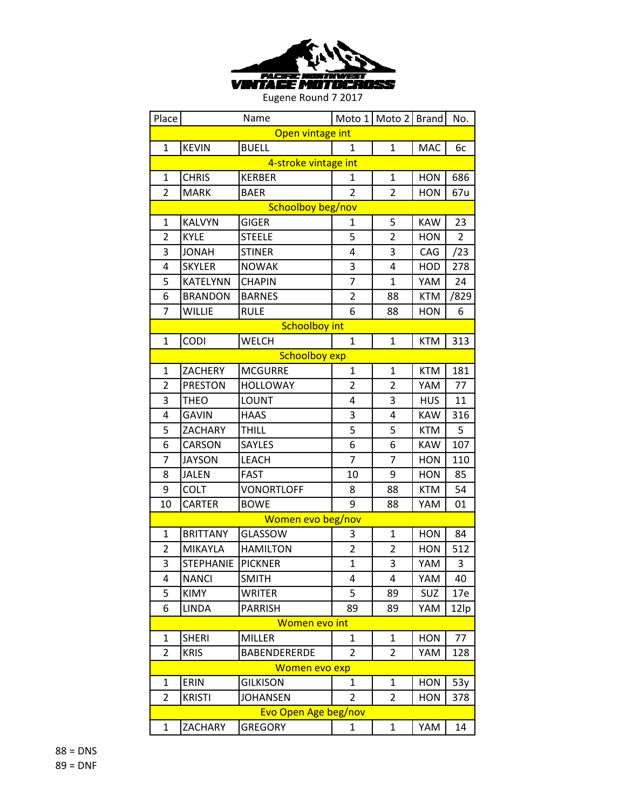

| Place          |                  | Name                 |                         | Moto 1   Moto 2   Brand |            | No.  |
|----------------|------------------|----------------------|-------------------------|-------------------------|------------|------|
|                |                  | Open vintage int     |                         |                         |            |      |
| $\mathbf{1}$   | <b>KEVIN</b>     | <b>BUELL</b>         | 1                       | $\mathbf{1}$            | MAC        | 6c   |
|                |                  | 4-stroke vintage int |                         |                         |            |      |
| $\mathbf{1}$   | <b>CHRIS</b>     | <b>KERBER</b>        | 1                       | $\mathbf{1}$            | <b>HON</b> | 686  |
| $\overline{2}$ | <b>MARK</b>      | <b>BAER</b>          | $\overline{2}$          | $\overline{2}$          | <b>HON</b> | 67u  |
|                |                  | Schoolboy beg/nov    |                         |                         |            |      |
| $\mathbf 1$    | <b>KALVYN</b>    | <b>GIGER</b>         | 1                       | 5                       | <b>KAW</b> | 23   |
| 2              | <b>KYLE</b>      | <b>STEELE</b>        | 5                       | $\overline{2}$          | <b>HON</b> | 2    |
| 3              | <b>JONAH</b>     | <b>STINER</b>        | 4                       | 3                       | CAG        | /23  |
| 4              | <b>SKYLER</b>    | <b>NOWAK</b>         | 3                       | 4                       | HOD        | 278  |
| 5              | KATELYNN         | <b>CHAPIN</b>        | 7                       | $\mathbf{1}$            | YAM        | 24   |
| 6              | <b>BRANDON</b>   | <b>BARNES</b>        | 2                       | 88                      | <b>KTM</b> | /829 |
| 7              | <b>WILLIE</b>    | <b>RULE</b>          | 6                       | 88                      | <b>HON</b> | 6    |
|                |                  | <b>Schoolboy int</b> |                         |                         |            |      |
| $\mathbf{1}$   | CODI             | <b>WELCH</b>         | $\mathbf{1}$            | $\mathbf{1}$            | <b>KTM</b> | 313  |
|                |                  | <b>Schoolboy exp</b> |                         |                         |            |      |
| $\mathbf{1}$   | ZACHERY          | <b>MCGURRE</b>       | $\mathbf{1}$            | $\mathbf{1}$            | <b>KTM</b> | 181  |
| $\overline{2}$ | <b>PRESTON</b>   | <b>HOLLOWAY</b>      | 2                       | $\overline{2}$          | YAM        | 77   |
| 3              | <b>THEO</b>      | <b>LOUNT</b>         | 4                       | 3                       | <b>HUS</b> | 11   |
| 4              | <b>GAVIN</b>     | <b>HAAS</b>          | 3                       | 4                       | <b>KAW</b> | 316  |
| 5              | ZACHARY          | <b>THILL</b>         | 5                       | 5                       | <b>KTM</b> | 5    |
| 6              | <b>CARSON</b>    | SAYLES               | 6                       | 6                       | <b>KAW</b> | 107  |
| 7              | <b>JAYSON</b>    | <b>LEACH</b>         | 7                       | $\overline{7}$          | <b>HON</b> | 110  |
| 8              | <b>JALEN</b>     | <b>FAST</b>          | 10                      | 9                       | <b>HON</b> | 85   |
| 9              | <b>COLT</b>      | <b>VONORTLOFF</b>    | 8                       | 88                      | <b>KTM</b> | 54   |
| 10             | CARTER           | <b>BOWE</b>          | 9                       | 88                      | YAM        | 01   |
|                |                  | Women evo beg/nov    |                         |                         |            |      |
| $\mathbf{1}$   | <b>BRITTANY</b>  | GLASSOW              | 3                       | $\mathbf{1}$            | <b>HON</b> | 84   |
| $\overline{2}$ | MIKAYLA          | <b>HAMILTON</b>      | $\overline{\mathbf{c}}$ | $\overline{2}$          | <b>HON</b> | 512  |
| 3              | <b>STEPHANIE</b> | <b>PICKNER</b>       | $\overline{1}$          | 3                       | YAM        | 3    |
| 4              | <b>NANCI</b>     | <b>SMITH</b>         | 4                       | 4                       | YAM        | 40   |
| 5              | <b>KIMY</b>      | WRITER               | 5                       | 89                      | SUZ        | 17e  |
| 6              | <b>LINDA</b>     | <b>PARRISH</b>       | 89                      | 89                      | YAM        | 12lp |
|                |                  | Women evo int        |                         |                         |            |      |
| 1              | <b>SHERI</b>     | <b>MILLER</b>        | $\mathbf{1}$            | $\mathbf{1}$            | <b>HON</b> | 77   |
| $\overline{2}$ | <b>KRIS</b>      | <b>BABENDERERDE</b>  | 2                       | $\overline{2}$          | YAM        | 128  |
|                |                  | Women evo exp        |                         |                         |            |      |
| 1              | ERIN             | <b>GILKISON</b>      | $\mathbf{1}$            | 1                       | <b>HON</b> | 53y  |
| 2              | <b>KRISTI</b>    | <b>JOHANSEN</b>      | 2                       | 2                       | <b>HON</b> | 378  |
|                |                  | Evo Open Age beg/nov |                         |                         |            |      |
| 1              | ZACHARY          | <b>GREGORY</b>       | 1                       | $\mathbf{1}$            | YAM        | 14   |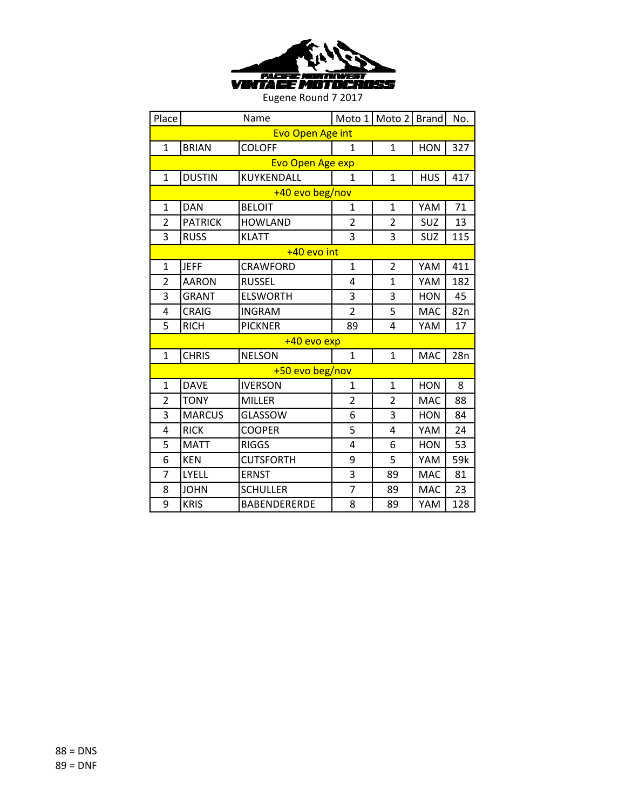

| Place          |                         | Name                    | Moto 1         | Moto 2 Brand   |            | No.             |  |  |  |
|----------------|-------------------------|-------------------------|----------------|----------------|------------|-----------------|--|--|--|
|                | <b>Evo Open Age int</b> |                         |                |                |            |                 |  |  |  |
| $\mathbf{1}$   | <b>BRIAN</b>            | <b>COLOFF</b>           | $\mathbf{1}$   | $\mathbf{1}$   | <b>HON</b> | 327             |  |  |  |
|                |                         | <b>Evo Open Age exp</b> |                |                |            |                 |  |  |  |
| $\mathbf 1$    | <b>DUSTIN</b>           | KUYKENDALL              | $\mathbf{1}$   | $\mathbf{1}$   | <b>HUS</b> | 417             |  |  |  |
|                |                         | +40 evo beg/nov         |                |                |            |                 |  |  |  |
| $\mathbf{1}$   | <b>DAN</b>              | <b>BELOIT</b>           | $\mathbf{1}$   | $\mathbf{1}$   | YAM        | 71              |  |  |  |
| $\overline{2}$ | <b>PATRICK</b>          | <b>HOWLAND</b>          | $\overline{2}$ | $\overline{2}$ | SUZ        | 13              |  |  |  |
| 3              | <b>RUSS</b>             | <b>KLATT</b>            | 3              | 3              | SUZ        | 115             |  |  |  |
|                |                         | +40 evo int             |                |                |            |                 |  |  |  |
| $\mathbf{1}$   | <b>JEFF</b>             | <b>CRAWFORD</b>         | $\mathbf{1}$   | $\overline{2}$ | YAM        | 411             |  |  |  |
| $\overline{2}$ | <b>AARON</b>            | <b>RUSSEL</b>           | 4              | $\mathbf{1}$   | YAM        | 182             |  |  |  |
| 3              | <b>GRANT</b>            | <b>ELSWORTH</b>         | 3              | 3              | <b>HON</b> | 45              |  |  |  |
| 4              | <b>CRAIG</b>            | <b>INGRAM</b>           | $\overline{2}$ | 5              | MAC        | 82 <sub>n</sub> |  |  |  |
| 5              | <b>RICH</b>             | <b>PICKNER</b>          | 89             | 4              | YAM        | 17              |  |  |  |
|                |                         | +40 evo exp             |                |                |            |                 |  |  |  |
| $\mathbf{1}$   | <b>CHRIS</b>            | <b>NELSON</b>           | $\mathbf{1}$   | $\mathbf{1}$   | <b>MAC</b> | 28n             |  |  |  |
|                |                         | +50 evo beg/nov         |                |                |            |                 |  |  |  |
| 1              | <b>DAVE</b>             | <b>IVERSON</b>          | 1              | $\mathbf{1}$   | <b>HON</b> | 8               |  |  |  |
| $\overline{2}$ | <b>TONY</b>             | <b>MILLER</b>           | $\overline{2}$ | $\overline{2}$ | <b>MAC</b> | 88              |  |  |  |
| 3              | <b>MARCUS</b>           | <b>GLASSOW</b>          | 6              | 3              | <b>HON</b> | 84              |  |  |  |
| 4              | <b>RICK</b>             | <b>COOPER</b>           | 5              | 4              | YAM        | 24              |  |  |  |
| 5              | <b>MATT</b>             | <b>RIGGS</b>            | 4              | 6              | <b>HON</b> | 53              |  |  |  |
| 6              | <b>KEN</b>              | <b>CUTSFORTH</b>        | 9              | 5              | YAM        | 59k             |  |  |  |
| 7              | LYELL                   | <b>ERNST</b>            | 3              | 89             | <b>MAC</b> | 81              |  |  |  |
| 8              | <b>JOHN</b>             | <b>SCHULLER</b>         | $\overline{7}$ | 89             | <b>MAC</b> | 23              |  |  |  |
| 9              | <b>KRIS</b>             | <b>BABENDERERDE</b>     | 8              | 89             | YAM        | 128             |  |  |  |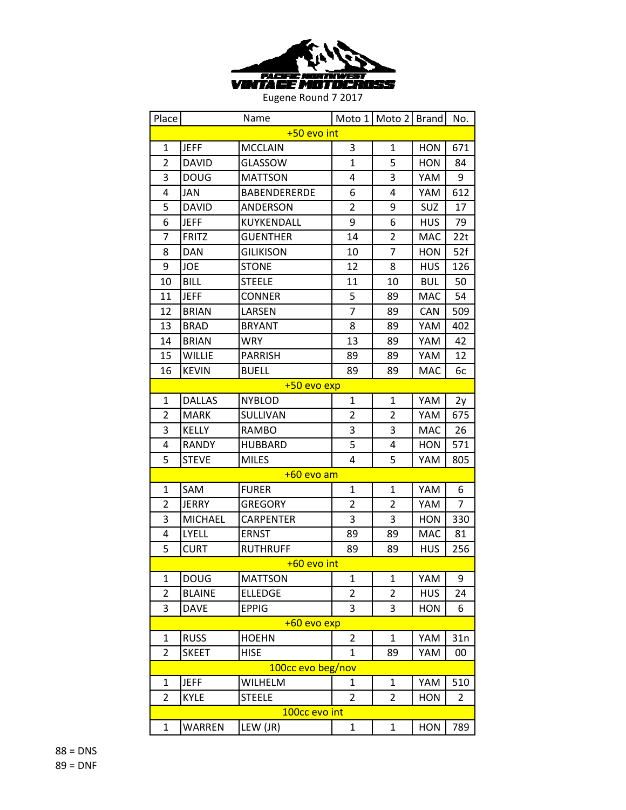

| Place          |                | Name                |                | Moto 1   Moto 2   Brand |            | No.            |  |
|----------------|----------------|---------------------|----------------|-------------------------|------------|----------------|--|
| +50 evo int    |                |                     |                |                         |            |                |  |
| 1              | <b>JEFF</b>    | <b>MCCLAIN</b>      | 3              | $\mathbf{1}$            | <b>HON</b> | 671            |  |
| 2              | <b>DAVID</b>   | GLASSOW             | $\overline{1}$ | 5                       | HON        | 84             |  |
| 3              | <b>DOUG</b>    | <b>MATTSON</b>      | 4              | 3                       | YAM        | 9              |  |
| 4              | JAN            | <b>BABENDERERDE</b> | 6              | 4                       | YAM        | 612            |  |
| 5              | <b>DAVID</b>   | ANDERSON            | $\overline{2}$ | 9                       | SUZ        | 17             |  |
| 6              | <b>JEFF</b>    | KUYKENDALL          | 9              | 6                       | <b>HUS</b> | 79             |  |
| 7              | <b>FRITZ</b>   | <b>GUENTHER</b>     | 14             | $\overline{2}$          | <b>MAC</b> | 22t            |  |
| 8              | <b>DAN</b>     | <b>GILIKISON</b>    | 10             | $\overline{7}$          | <b>HON</b> | 52f            |  |
| 9              | <b>JOE</b>     | <b>STONE</b>        | 12             | 8                       | <b>HUS</b> | 126            |  |
| 10             | <b>BILL</b>    | <b>STEELE</b>       | 11             | 10                      | <b>BUL</b> | 50             |  |
| 11             | <b>JEFF</b>    | <b>CONNER</b>       | 5              | 89                      | <b>MAC</b> | 54             |  |
| 12             | <b>BRIAN</b>   | LARSEN              | $\overline{7}$ | 89                      | <b>CAN</b> | 509            |  |
| 13             | <b>BRAD</b>    | <b>BRYANT</b>       | 8              | 89                      | YAM        | 402            |  |
| 14             | <b>BRIAN</b>   | <b>WRY</b>          | 13             | 89                      | YAM        | 42             |  |
| 15             | <b>WILLIE</b>  | <b>PARRISH</b>      | 89             | 89                      | YAM        | 12             |  |
| 16             | <b>KEVIN</b>   | <b>BUELL</b>        | 89             | 89                      | <b>MAC</b> | 6c             |  |
|                |                | +50 evo exp         |                |                         |            |                |  |
| 1              | <b>DALLAS</b>  | <b>NYBLOD</b>       | $\mathbf{1}$   | $\mathbf{1}$            | YAM        | 2y             |  |
| $\overline{2}$ | <b>MARK</b>    | SULLIVAN            | 2              | 2                       | YAM        | 675            |  |
| 3              | <b>KELLY</b>   | <b>RAMBO</b>        | 3              | 3                       | <b>MAC</b> | 26             |  |
| 4              | RANDY          | <b>HUBBARD</b>      | 5              | 4                       | <b>HON</b> | 571            |  |
| 5              | <b>STEVE</b>   | <b>MILES</b>        | 4              | 5                       | YAM        | 805            |  |
|                |                | +60 evo am          |                |                         |            |                |  |
| 1              | SAM            | <b>FURER</b>        | $\mathbf{1}$   | $\mathbf{1}$            | YAM        | 6              |  |
| $\overline{2}$ | <b>JERRY</b>   | <b>GREGORY</b>      | $\overline{2}$ | 2                       | YAM        | $\overline{7}$ |  |
| 3              | <b>MICHAEL</b> | <b>CARPENTER</b>    | 3              | 3                       | <b>HON</b> | 330            |  |
| 4              | <b>LYELL</b>   | <b>ERNST</b>        | 89             | 89                      | <b>MAC</b> | 81             |  |
| 5              | <b>CURT</b>    | <b>RUTHRUFF</b>     | 89             | 89                      | <b>HUS</b> | 256            |  |
|                |                | $+60$ evo int       |                |                         |            |                |  |
| 1              | <b>DOUG</b>    | <b>MATTSON</b>      | 1              | 1                       | YAM        | 9              |  |
| 2              | <b>BLAINE</b>  | <b>ELLEDGE</b>      | 2              | $\overline{2}$          | <b>HUS</b> | 24             |  |
| 3              | <b>DAVE</b>    | <b>EPPIG</b>        | 3              | 3                       | <b>HON</b> | 6              |  |
|                |                | +60 evo exp         |                |                         |            |                |  |
| 1              | <b>RUSS</b>    | <b>HOEHN</b>        | 2              | $\mathbf{1}$            | YAM        | 31n            |  |
| 2              | <b>SKEET</b>   | <b>HISE</b>         | 1              | 89                      | YAM        | 00             |  |
|                |                | 100cc evo beg/nov   |                |                         |            |                |  |
| $\mathbf{1}$   | <b>JEFF</b>    | WILHELM             | 1              | $\mathbf{1}$            | YAM        | 510            |  |
| $\overline{2}$ | <b>KYLE</b>    | <b>STEELE</b>       | 2              | $\overline{2}$          | <b>HON</b> | 2              |  |
|                |                | 100cc evo int       |                |                         |            |                |  |
| 1              | WARREN         | LEW (JR)            | 1              | 1                       | <b>HON</b> | 789            |  |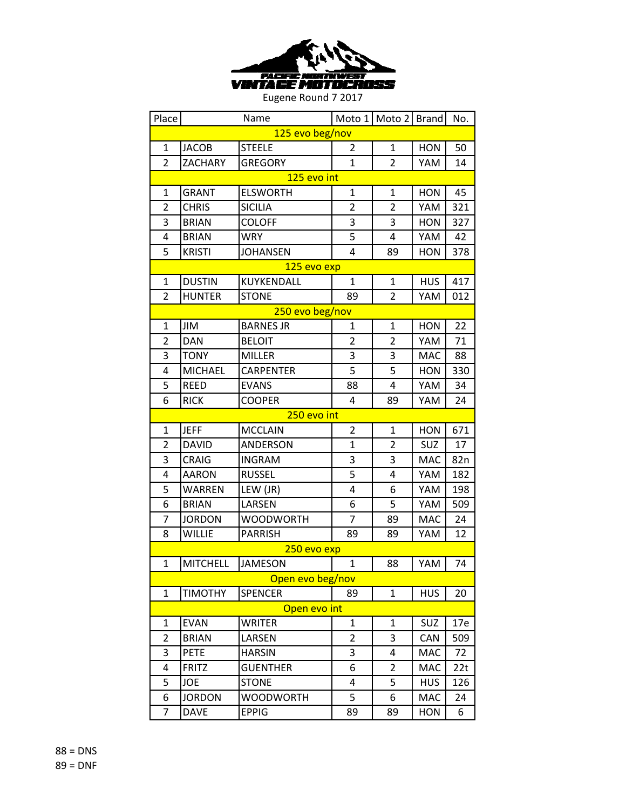

| Place           |                 | Name             |                | Moto 1   Moto 2   Brand |            | No. |  |
|-----------------|-----------------|------------------|----------------|-------------------------|------------|-----|--|
| 125 evo beg/nov |                 |                  |                |                         |            |     |  |
| 1               | <b>JACOB</b>    | <b>STEELE</b>    | 2              | 1                       | <b>HON</b> | 50  |  |
| $\overline{2}$  | ZACHARY         | <b>GREGORY</b>   | $\mathbf{1}$   | $\overline{2}$          | YAM        | 14  |  |
|                 |                 | 125 evo int      |                |                         |            |     |  |
| $\mathbf{1}$    | <b>GRANT</b>    | <b>ELSWORTH</b>  | $\mathbf{1}$   | $\mathbf{1}$            | <b>HON</b> | 45  |  |
| $\overline{2}$  | <b>CHRIS</b>    | <b>SICILIA</b>   | $\overline{2}$ | $\overline{2}$          | YAM        | 321 |  |
| 3               | <b>BRIAN</b>    | <b>COLOFF</b>    | 3              | 3                       | <b>HON</b> | 327 |  |
| 4               | <b>BRIAN</b>    | <b>WRY</b>       | 5              | 4                       | YAM        | 42  |  |
| 5               | <b>KRISTI</b>   | <b>JOHANSEN</b>  | 4              | 89                      | <b>HON</b> | 378 |  |
|                 |                 | 125 evo exp      |                |                         |            |     |  |
| $\mathbf{1}$    | <b>DUSTIN</b>   | KUYKENDALL       | $\mathbf{1}$   | $\mathbf{1}$            | <b>HUS</b> | 417 |  |
| $\overline{2}$  | <b>HUNTER</b>   | <b>STONE</b>     | 89             | $\overline{2}$          | YAM        | 012 |  |
|                 |                 | 250 evo beg/nov  |                |                         |            |     |  |
| $\mathbf{1}$    | <b>JIM</b>      | <b>BARNES JR</b> | 1              | $\mathbf{1}$            | <b>HON</b> | 22  |  |
| $\overline{2}$  | <b>DAN</b>      | <b>BELOIT</b>    | $\overline{2}$ | $\overline{2}$          | YAM        | 71  |  |
| 3               | <b>TONY</b>     | <b>MILLER</b>    | 3              | 3                       | <b>MAC</b> | 88  |  |
| 4               | <b>MICHAEL</b>  | <b>CARPENTER</b> | 5              | 5                       | <b>HON</b> | 330 |  |
| 5               | <b>REED</b>     | <b>EVANS</b>     | 88             | $\overline{4}$          | YAM        | 34  |  |
| 6               | <b>RICK</b>     | <b>COOPER</b>    | 4              | 89                      | YAM        | 24  |  |
|                 |                 | 250 evo int      |                |                         |            |     |  |
| 1               | <b>JEFF</b>     | <b>MCCLAIN</b>   | $\overline{2}$ | $\mathbf{1}$            | <b>HON</b> | 671 |  |
| 2               | <b>DAVID</b>    | ANDERSON         | $\overline{1}$ | $\overline{2}$          | SUZ        | 17  |  |
| 3               | <b>CRAIG</b>    | <b>INGRAM</b>    | 3              | 3                       | <b>MAC</b> | 82n |  |
| 4               | <b>AARON</b>    | <b>RUSSEL</b>    | 5              | 4                       | YAM        | 182 |  |
| 5               | WARREN          | LEW (JR)         | 4              | 6                       | YAM        | 198 |  |
| 6               | <b>BRIAN</b>    | LARSEN           | 6              | 5                       | YAM        | 509 |  |
| 7               | <b>JORDON</b>   | <b>WOODWORTH</b> | 7              | 89                      | <b>MAC</b> | 24  |  |
| 8               | <b>WILLIE</b>   | <b>PARRISH</b>   | 89             | 89                      | YAM        | 12  |  |
|                 |                 | 250 evo exp      |                |                         |            |     |  |
| $\mathbf{1}$    | <b>MITCHELL</b> | <b>JAMESON</b>   | $\mathbf{1}$   | 88                      | YAM        | 74  |  |
|                 |                 | Open evo beg/nov |                |                         |            |     |  |
| 1               | <b>TIMOTHY</b>  | <b>SPENCER</b>   | 89             | $\mathbf{1}$            | <b>HUS</b> | 20  |  |
|                 |                 | Open evo int     |                |                         |            |     |  |
| 1               | <b>EVAN</b>     | WRITER           | $\mathbf{1}$   | 1                       | SUZ        | 17e |  |
| $\overline{2}$  | <b>BRIAN</b>    | LARSEN           | $\overline{2}$ | 3                       | CAN        | 509 |  |
| 3               | <b>PETE</b>     | <b>HARSIN</b>    | 3              | 4                       | MAC        | 72  |  |
| 4               | <b>FRITZ</b>    | <b>GUENTHER</b>  | 6              | 2                       | <b>MAC</b> | 22t |  |
| 5               | JOE             | <b>STONE</b>     | 4              | 5                       | <b>HUS</b> | 126 |  |
| 6               | <b>JORDON</b>   | <b>WOODWORTH</b> | 5              | 6                       | <b>MAC</b> | 24  |  |
| 7               | <b>DAVE</b>     | <b>EPPIG</b>     | 89             | 89                      | <b>HON</b> | 6   |  |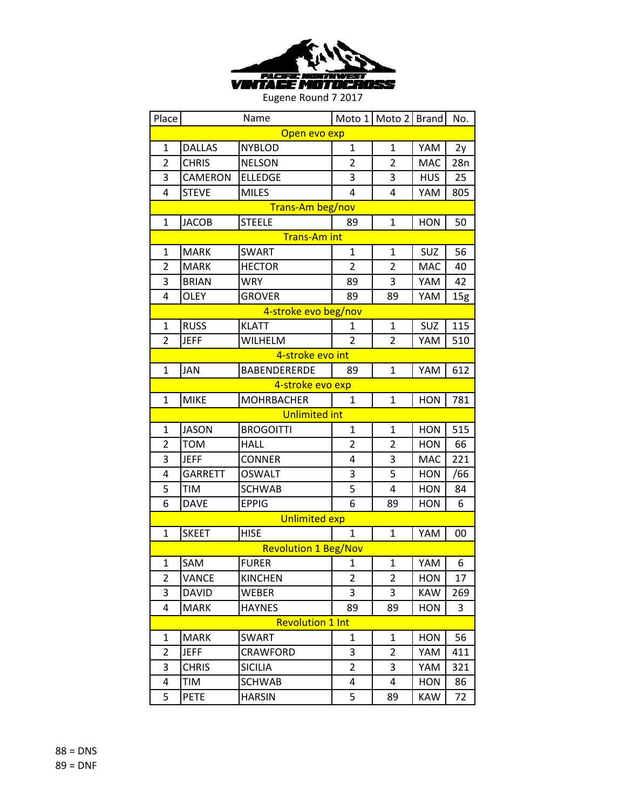

| Place          |                | Name                        |                | Moto 1 Moto 2 Brand |            | No. |  |
|----------------|----------------|-----------------------------|----------------|---------------------|------------|-----|--|
| Open evo exp   |                |                             |                |                     |            |     |  |
| $\mathbf 1$    | <b>DALLAS</b>  | <b>NYBLOD</b>               | $\mathbf{1}$   | $\mathbf{1}$        | YAM        | 2y  |  |
| $\overline{2}$ | <b>CHRIS</b>   | <b>NELSON</b>               | 2              | $\overline{2}$      | <b>MAC</b> | 28n |  |
| 3              | CAMERON        | <b>ELLEDGE</b>              | 3              | 3                   | <b>HUS</b> | 25  |  |
| 4              | <b>STEVE</b>   | <b>MILES</b>                | 4              | 4                   | YAM        | 805 |  |
|                |                | Trans-Am beg/nov            |                |                     |            |     |  |
| $\mathbf 1$    | <b>JACOB</b>   | <b>STEELE</b>               | 89             | $\mathbf{1}$        | <b>HON</b> | 50  |  |
|                |                | <b>Trans-Am int</b>         |                |                     |            |     |  |
| $\mathbf{1}$   | <b>MARK</b>    | <b>SWART</b>                | $\mathbf{1}$   | $\mathbf{1}$        | SUZ        | 56  |  |
| $\overline{2}$ | <b>MARK</b>    | <b>HECTOR</b>               | $\overline{2}$ | $\overline{2}$      | <b>MAC</b> | 40  |  |
| 3              | <b>BRIAN</b>   | <b>WRY</b>                  | 89             | 3                   | YAM        | 42  |  |
| 4              | <b>OLEY</b>    | <b>GROVER</b>               | 89             | 89                  | YAM        | 15g |  |
|                |                | 4-stroke evo beg/nov        |                |                     |            |     |  |
| $\mathbf{1}$   | <b>RUSS</b>    | <b>KLATT</b>                | 1              | $\mathbf{1}$        | SUZ        | 115 |  |
| $\overline{2}$ | <b>JEFF</b>    | WILHELM                     | $\overline{2}$ | $\overline{2}$      | YAM        | 510 |  |
|                |                | 4-stroke evo int            |                |                     |            |     |  |
| 1              | <b>JAN</b>     | <b>BABENDERERDE</b>         | 89             | $\mathbf{1}$        | YAM        | 612 |  |
|                |                | 4-stroke evo exp            |                |                     |            |     |  |
| 1              | <b>MIKE</b>    | <b>MOHRBACHER</b>           | 1              | $\mathbf{1}$        | <b>HON</b> | 781 |  |
|                |                | <b>Unlimited int</b>        |                |                     |            |     |  |
| $\mathbf{1}$   | <b>JASON</b>   | <b>BROGOITTI</b>            | $\mathbf{1}$   | $\mathbf{1}$        | <b>HON</b> | 515 |  |
| 2              | <b>TOM</b>     | <b>HALL</b>                 | 2              | $\overline{2}$      | <b>HON</b> | 66  |  |
| 3              | <b>JEFF</b>    | <b>CONNER</b>               | 4              | 3                   | MAC        | 221 |  |
| 4              | <b>GARRETT</b> | OSWALT                      | 3              | 5                   | HON        | /66 |  |
| 5              | <b>TIM</b>     | <b>SCHWAB</b>               | 5              | 4                   | <b>HON</b> | 84  |  |
| 6              | <b>DAVE</b>    | <b>EPPIG</b>                | 6              | 89                  | <b>HON</b> | 6   |  |
|                |                | <b>Unlimited exp</b>        |                |                     |            |     |  |
| $\mathbf{1}$   | <b>SKEET</b>   | <b>HISE</b>                 | 1              | $\mathbf{1}$        | YAM        | 00  |  |
|                |                | <b>Revolution 1 Beg/Nov</b> |                |                     |            |     |  |
| $\mathbf{1}$   | SAM            | <b>FURER</b>                | 1              | $\mathbf{1}$        | YAM        | 6   |  |
| $\overline{2}$ | VANCE          | <b>KINCHEN</b>              | 2              | 2                   | <b>HON</b> | 17  |  |
| 3              | <b>DAVID</b>   | WEBER                       | 3              | 3                   | <b>KAW</b> | 269 |  |
| 4              | <b>MARK</b>    | <b>HAYNES</b>               | 89             | 89                  | <b>HON</b> | 3   |  |
|                |                | <b>Revolution 1 Int</b>     |                |                     |            |     |  |
| 1              | <b>MARK</b>    | <b>SWART</b>                | 1              | $\mathbf{1}$        | <b>HON</b> | 56  |  |
| 2              | <b>JEFF</b>    | CRAWFORD                    | 3              | 2                   | YAM        | 411 |  |
| 3              | <b>CHRIS</b>   | <b>SICILIA</b>              | $\overline{2}$ | 3                   | YAM        | 321 |  |
| 4              | TIM            | <b>SCHWAB</b>               | 4              | 4                   | <b>HON</b> | 86  |  |
| 5              | <b>PETE</b>    | <b>HARSIN</b>               | 5              | 89                  | <b>KAW</b> | 72  |  |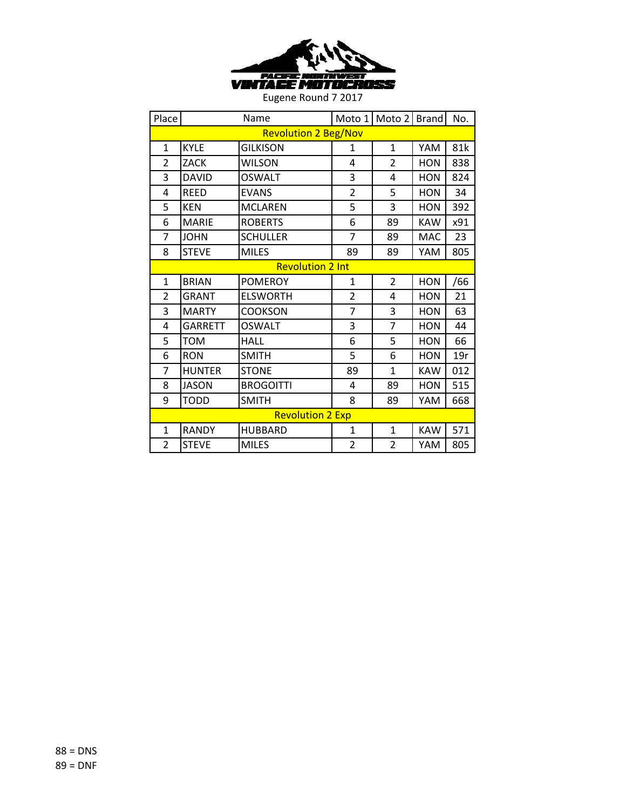

| Place          |                             | Name                    |                | Moto 1 Moto 2 Brand |            | No. |
|----------------|-----------------------------|-------------------------|----------------|---------------------|------------|-----|
|                | <b>Revolution 2 Beg/Nov</b> |                         |                |                     |            |     |
| $\mathbf{1}$   | <b>KYLE</b>                 | <b>GILKISON</b>         | 1              | $\mathbf{1}$        | YAM        | 81k |
| $\overline{2}$ | ZACK                        | <b>WILSON</b>           | 4              | $\overline{2}$      | <b>HON</b> | 838 |
| 3              | <b>DAVID</b>                | <b>OSWALT</b>           | 3              | 4                   | <b>HON</b> | 824 |
| 4              | <b>REED</b>                 | <b>EVANS</b>            | $\overline{2}$ | 5                   | <b>HON</b> | 34  |
| 5              | <b>KEN</b>                  | <b>MCLAREN</b>          | 5              | 3                   | <b>HON</b> | 392 |
| 6              | <b>MARIE</b>                | <b>ROBERTS</b>          | 6              | 89                  | <b>KAW</b> | x91 |
| 7              | <b>JOHN</b>                 | <b>SCHULLER</b>         | $\overline{7}$ | 89                  | <b>MAC</b> | 23  |
| 8              | <b>STEVE</b>                | <b>MILES</b>            | 89             | 89                  | YAM        | 805 |
|                |                             | <b>Revolution 2 Int</b> |                |                     |            |     |
| $\mathbf{1}$   | <b>BRIAN</b>                | <b>POMEROY</b>          | $\mathbf{1}$   | $\overline{2}$      | <b>HON</b> | /66 |
| 2              | <b>GRANT</b>                | <b>ELSWORTH</b>         | $\overline{2}$ | 4                   | <b>HON</b> | 21  |
| 3              | <b>MARTY</b>                | <b>COOKSON</b>          | $\overline{7}$ | 3                   | <b>HON</b> | 63  |
| 4              | <b>GARRETT</b>              | <b>OSWALT</b>           | 3              | $\overline{7}$      | <b>HON</b> | 44  |
| 5              | TOM                         | <b>HALL</b>             | 6              | 5                   | <b>HON</b> | 66  |
| 6              | <b>RON</b>                  | <b>SMITH</b>            | 5              | 6                   | <b>HON</b> | 19r |
| 7              | <b>HUNTER</b>               | <b>STONE</b>            | 89             | 1                   | <b>KAW</b> | 012 |
| 8              | <b>JASON</b>                | <b>BROGOITTI</b>        | 4              | 89                  | <b>HON</b> | 515 |
| 9              | <b>TODD</b>                 | <b>SMITH</b>            | 8              | 89                  | YAM        | 668 |
|                |                             | <b>Revolution 2 Exp</b> |                |                     |            |     |
| $\mathbf{1}$   | <b>RANDY</b>                | <b>HUBBARD</b>          | $\mathbf{1}$   | $\mathbf{1}$        | <b>KAW</b> | 571 |
| $\overline{2}$ | <b>STEVE</b>                | <b>MILES</b>            | $\overline{2}$ | $\overline{2}$      | YAM        | 805 |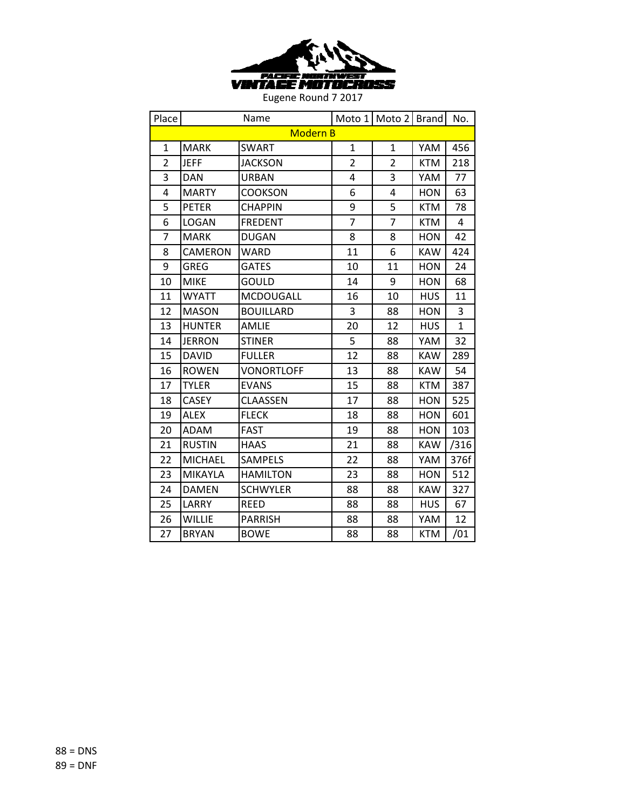

| Place          | Name            |                   |                | Moto 1   Moto 2   Brand |            | No.          |  |  |
|----------------|-----------------|-------------------|----------------|-------------------------|------------|--------------|--|--|
|                | <b>Modern B</b> |                   |                |                         |            |              |  |  |
| $\mathbf{1}$   | <b>MARK</b>     | <b>SWART</b>      | $\mathbf{1}$   | $\mathbf{1}$            | YAM        | 456          |  |  |
| $\overline{2}$ | <b>JEFF</b>     | <b>JACKSON</b>    | $\overline{2}$ | $\overline{2}$          | <b>KTM</b> | 218          |  |  |
| 3              | <b>DAN</b>      | <b>URBAN</b>      | 4              | 3                       | YAM        | 77           |  |  |
| 4              | <b>MARTY</b>    | <b>COOKSON</b>    | 6              | 4                       | <b>HON</b> | 63           |  |  |
| 5              | <b>PETER</b>    | <b>CHAPPIN</b>    | 9              | 5                       | <b>KTM</b> | 78           |  |  |
| 6              | LOGAN           | <b>FREDENT</b>    | $\overline{7}$ | 7                       | <b>KTM</b> | 4            |  |  |
| $\overline{7}$ | <b>MARK</b>     | <b>DUGAN</b>      | 8              | 8                       | <b>HON</b> | 42           |  |  |
| 8              | CAMERON         | <b>WARD</b>       | 11             | 6                       | <b>KAW</b> | 424          |  |  |
| 9              | GREG            | <b>GATES</b>      | 10             | 11                      | <b>HON</b> | 24           |  |  |
| 10             | <b>MIKE</b>     | GOULD             | 14             | 9                       | <b>HON</b> | 68           |  |  |
| 11             | <b>WYATT</b>    | MCDOUGALL         | 16             | 10                      | <b>HUS</b> | 11           |  |  |
| 12             | <b>MASON</b>    | <b>BOUILLARD</b>  | 3              | 88                      | <b>HON</b> | 3            |  |  |
| 13             | <b>HUNTER</b>   | AMLIE             | 20             | 12                      | <b>HUS</b> | $\mathbf{1}$ |  |  |
| 14             | <b>JERRON</b>   | <b>STINER</b>     | 5              | 88                      | YAM        | 32           |  |  |
| 15             | <b>DAVID</b>    | <b>FULLER</b>     | 12             | 88                      | <b>KAW</b> | 289          |  |  |
| 16             | <b>ROWEN</b>    | <b>VONORTLOFF</b> | 13             | 88                      | <b>KAW</b> | 54           |  |  |
| 17             | <b>TYLER</b>    | <b>EVANS</b>      | 15             | 88                      | <b>KTM</b> | 387          |  |  |
| 18             | <b>CASEY</b>    | <b>CLAASSEN</b>   | 17             | 88                      | <b>HON</b> | 525          |  |  |
| 19             | <b>ALEX</b>     | <b>FLECK</b>      | 18             | 88                      | <b>HON</b> | 601          |  |  |
| 20             | ADAM            | <b>FAST</b>       | 19             | 88                      | <b>HON</b> | 103          |  |  |
| 21             | <b>RUSTIN</b>   | <b>HAAS</b>       | 21             | 88                      | <b>KAW</b> | /316         |  |  |
| 22             | <b>MICHAEL</b>  | <b>SAMPELS</b>    | 22             | 88                      | YAM        | 376f         |  |  |
| 23             | MIKAYLA         | HAMILTON          | 23             | 88                      | HON        | 512          |  |  |
| 24             | <b>DAMEN</b>    | <b>SCHWYLER</b>   | 88             | 88                      | <b>KAW</b> | 327          |  |  |
| 25             | LARRY           | <b>REED</b>       | 88             | 88                      | <b>HUS</b> | 67           |  |  |
| 26             | <b>WILLIE</b>   | <b>PARRISH</b>    | 88             | 88                      | YAM        | 12           |  |  |
| 27             | <b>BRYAN</b>    | <b>BOWE</b>       | 88             | 88                      | <b>KTM</b> | /01          |  |  |